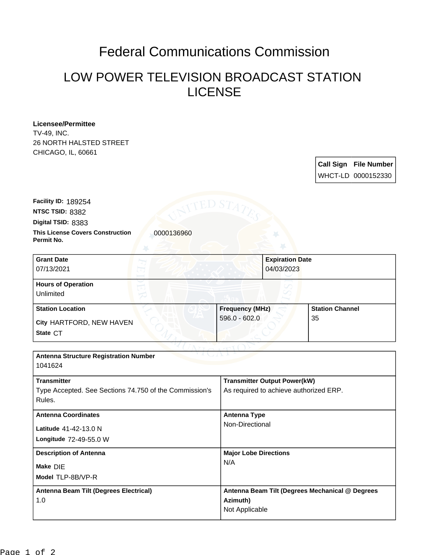## Federal Communications Commission

## LOW POWER TELEVISION BROADCAST STATION LICENSE

**Licensee/Permittee** TV-49, INC. 26 NORTH HALSTED STREET CHICAGO, IL, 60661

> **Call Sign File Number** WHCT-LD 0000152330

**This License Covers Construction 10000136960 Permit No. Digital TSID:** 8383 **NTSC TSID:** 8382 **Facility ID:** 189254

| <b>Grant Date</b><br>07/13/2021        | 04/03/2023             | <b>Expiration Date</b> |  |
|----------------------------------------|------------------------|------------------------|--|
| <b>Hours of Operation</b><br>Unlimited |                        |                        |  |
| <b>Station Location</b>                | <b>Frequency (MHz)</b> | <b>Station Channel</b> |  |
| City HARTFORD, NEW HAVEN<br>State CT   | $596.0 - 602.0$        | 35                     |  |

| <b>Antenna Structure Registration Number</b><br>1041624                                |                                                                               |  |  |  |
|----------------------------------------------------------------------------------------|-------------------------------------------------------------------------------|--|--|--|
| <b>Transmitter</b><br>Type Accepted. See Sections 74.750 of the Commission's<br>Rules. | <b>Transmitter Output Power(kW)</b><br>As required to achieve authorized ERP. |  |  |  |
| <b>Antenna Coordinates</b><br><b>Latitude 41-42-13.0 N</b><br>Longitude 72-49-55.0 W   | <b>Antenna Type</b><br>Non-Directional                                        |  |  |  |
| <b>Description of Antenna</b><br>Make DIE<br>Model TLP-8B/VP-R                         | <b>Major Lobe Directions</b><br>N/A                                           |  |  |  |
| Antenna Beam Tilt (Degrees Electrical)<br>1.0                                          | Antenna Beam Tilt (Degrees Mechanical @ Degrees<br>Azimuth)<br>Not Applicable |  |  |  |